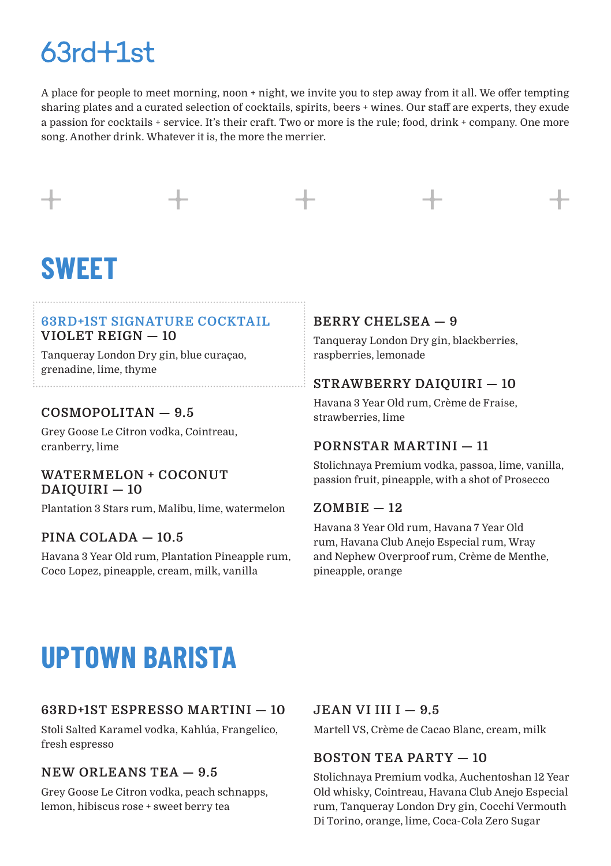### $63rd+1st$

A place for people to meet morning, noon + night, we invite you to step away from it all. We offer tempting sharing plates and a curated selection of cocktails, spirits, beers + wines. Our staff are experts, they exude a passion for cocktails + service. It's their craft. Two or more is the rule; food, drink + company. One more song. Another drink. Whatever it is, the more the merrier.

## **SWEET**

#### **63RD+1ST SIGNATURE COCKTAIL VIOLET REIGN — 10**

Tanqueray London Dry gin, blue curaçao, grenadine, lime, thyme

### **COSMOPOLITAN — 9.5**

Grey Goose Le Citron vodka, Cointreau, cranberry, lime

### **WATERMELON + COCONUT DAIQUIRI — 10**

Plantation 3 Stars rum, Malibu, lime, watermelon

### **PINA COLADA — 10.5**

Havana 3 Year Old rum, Plantation Pineapple rum, Coco Lopez, pineapple, cream, milk, vanilla

### **BERRY CHELSEA — 9**

Tanqueray London Dry gin, blackberries, raspberries, lemonade

### **STRAWBERRY DAIQUIRI — 10**

Havana 3 Year Old rum, Crème de Fraise, strawberries, lime

### **PORNSTAR MARTINI — 11**

Stolichnaya Premium vodka, passoa, lime, vanilla, passion fruit, pineapple, with a shot of Prosecco

#### **ZOMBIE — 12**

Havana 3 Year Old rum, Havana 7 Year Old rum, Havana Club Anejo Especial rum, Wray and Nephew Overproof rum, Crème de Menthe, pineapple, orange

### **UPTOWN BARISTA**

### **63RD+1ST ESPRESSO MARTINI — 10**

Stoli Salted Karamel vodka, Kahlúa, Frangelico, fresh espresso

### **NEW ORLEANS TEA — 9.5**

Grey Goose Le Citron vodka, peach schnapps, lemon, hibiscus rose + sweet berry tea

#### **JEAN VI III I — 9.5**

Martell VS, Crème de Cacao Blanc, cream, milk

### **BOSTON TEA PARTY — 10**

Stolichnaya Premium vodka, Auchentoshan 12 Year Old whisky, Cointreau, Havana Club Anejo Especial rum, Tanqueray London Dry gin, Cocchi Vermouth Di Torino, orange, lime, Coca-Cola Zero Sugar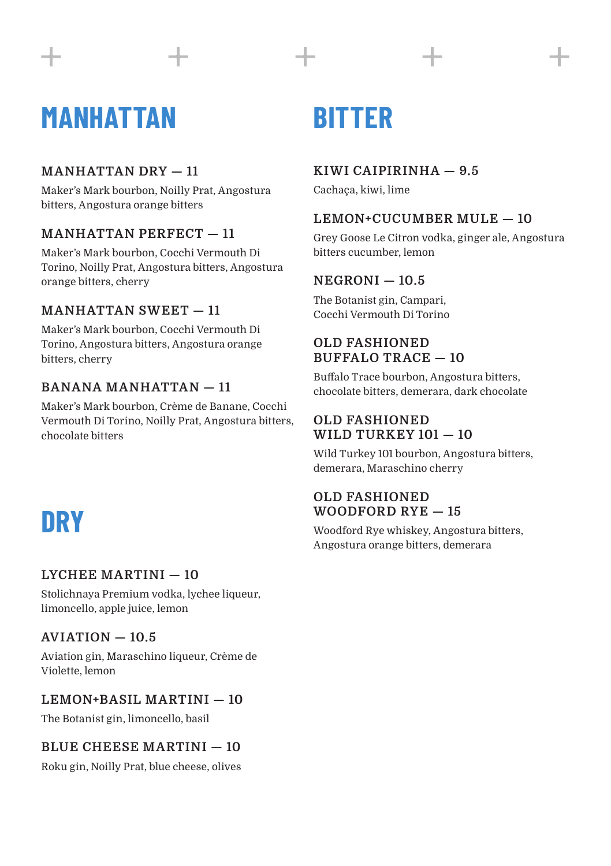## **MANHATTAN BITTER**

### **MANHATTAN DRY — 11**

Maker's Mark bourbon, Noilly Prat, Angostura bitters, Angostura orange bitters

### **MANHATTAN PERFECT — 11**

Maker's Mark bourbon, Cocchi Vermouth Di Torino, Noilly Prat, Angostura bitters, Angostura orange bitters, cherry

### **MANHATTAN SWEET — 11**

Maker's Mark bourbon, Cocchi Vermouth Di Torino, Angostura bitters, Angostura orange bitters, cherry

### **BANANA MANHATTAN — 11**

Maker's Mark bourbon, Crème de Banane, Cocchi Vermouth Di Torino, Noilly Prat, Angostura bitters, chocolate bitters

### **DRY**

### **LYCHEE MARTINI — 10**

Stolichnaya Premium vodka, lychee liqueur, limoncello, apple juice, lemon

### **AVIATION — 10.5**

Aviation gin, Maraschino liqueur, Crème de Violette, lemon

### **LEMON+BASIL MARTINI — 10**

The Botanist gin, limoncello, basil

### **BLUE CHEESE MARTINI — 10**

Roku gin, Noilly Prat, blue cheese, olives

### **KIWI CAIPIRINHA — 9.5**

Cachaça, kiwi, lime

### **LEMON+CUCUMBER MULE — 10**

Grey Goose Le Citron vodka, ginger ale, Angostura bitters cucumber, lemon

### **NEGRONI — 10.5**

The Botanist gin, Campari, Cocchi Vermouth Di Torino

### **OLD FASHIONED BUFFALO TRACE — 10**

Buffalo Trace bourbon, Angostura bitters, chocolate bitters, demerara, dark chocolate

### **OLD FASHIONED WILD TURKEY 101 — 10**

Wild Turkey 101 bourbon, Angostura bitters, demerara, Maraschino cherry

### **OLD FASHIONED WOODFORD RYE — 15**

Woodford Rye whiskey, Angostura bitters, Angostura orange bitters, demerara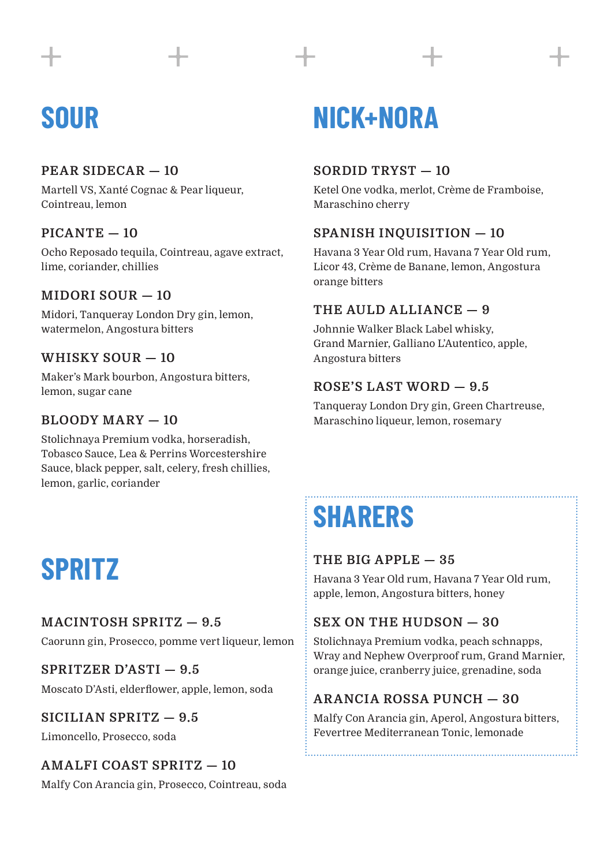### **SOUR**

### **PEAR SIDECAR — 10**

Martell VS, Xanté Cognac & Pear liqueur, Cointreau, lemon

### **PICANTE — 10**

Ocho Reposado tequila, Cointreau, agave extract, lime, coriander, chillies

### **MIDORI SOUR — 10**

Midori, Tanqueray London Dry gin, lemon, watermelon, Angostura bitters

### **WHISKY SOUR — 10**

Maker's Mark bourbon, Angostura bitters, lemon, sugar cane

### **BLOODY MARY — 10**

Stolichnaya Premium vodka, horseradish, Tobasco Sauce, Lea & Perrins Worcestershire Sauce, black pepper, salt, celery, fresh chillies, lemon, garlic, coriander

### **SPRITZ**

### **MACINTOSH SPRITZ — 9.5**

Caorunn gin, Prosecco, pomme vert liqueur, lemon

**SPRITZER D'ASTI — 9.5** Moscato D'Asti, elderflower, apple, lemon, soda

### **SICILIAN SPRITZ — 9.5**

Limoncello, Prosecco, soda

### **AMALFI COAST SPRITZ — 10**

Malfy Con Arancia gin, Prosecco, Cointreau, soda

### **NICK+NORA**

### **SORDID TRYST — 10**

Ketel One vodka, merlot, Crème de Framboise, Maraschino cherry

### **SPANISH INQUISITION — 10**

Havana 3 Year Old rum, Havana 7 Year Old rum, Licor 43, Crème de Banane, lemon, Angostura orange bitters

### **THE AULD ALLIANCE — 9**

Johnnie Walker Black Label whisky, Grand Marnier, Galliano L'Autentico, apple, Angostura bitters

### **ROSE'S LAST WORD — 9.5**

Tanqueray London Dry gin, Green Chartreuse, Maraschino liqueur, lemon, rosemary

### **SHARERS**

### **THE BIG APPLE — 35**

Havana 3 Year Old rum, Havana 7 Year Old rum, apple, lemon, Angostura bitters, honey

### **SEX ON THE HUDSON — 30**

Stolichnaya Premium vodka, peach schnapps, Wray and Nephew Overproof rum, Grand Marnier, orange juice, cranberry juice, grenadine, soda

### **ARANCIA ROSSA PUNCH — 30**

Malfy Con Arancia gin, Aperol, Angostura bitters, Fevertree Mediterranean Tonic, lemonade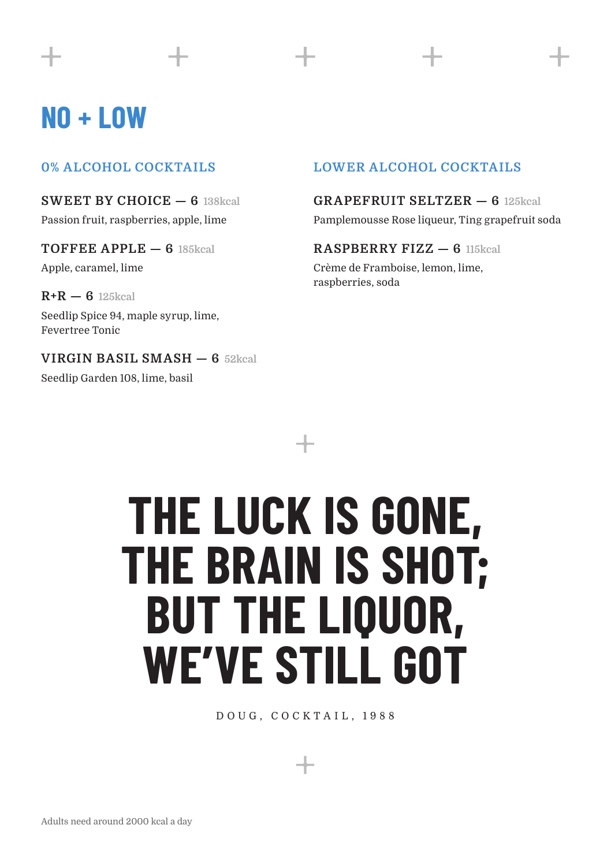### **NO + LOW**

### **0% ALCOHOL COCKTAILS**

**SWEET BY CHOICE — 6 138kcal** Passion fruit, raspberries, apple, lime

**TOFFEE APPLE — 6 185kcal** Apple, caramel, lime

**R+R — 6 125kcal** Seedlip Spice 94, maple syrup, lime, Fevertree Tonic

**VIRGIN BASIL SMASH — 6 52kcal** Seedlip Garden 108, lime, basil

### **LOWER ALCOHOL COCKTAILS**

### **GRAPEFRUIT SELTZER — 6 125kcal**

Pamplemousse Rose liqueur, Ting grapefruit soda

#### **RASPBERRY FIZZ — 6 115kcal**

Crème de Framboise, lemon, lime, raspberries, soda

# **THE LUCK IS GONE, THE BRAIN IS SHOT; BUT THE LIQUOR, WE'VE STILL GOT**

DOUG, COCKTAIL, 1988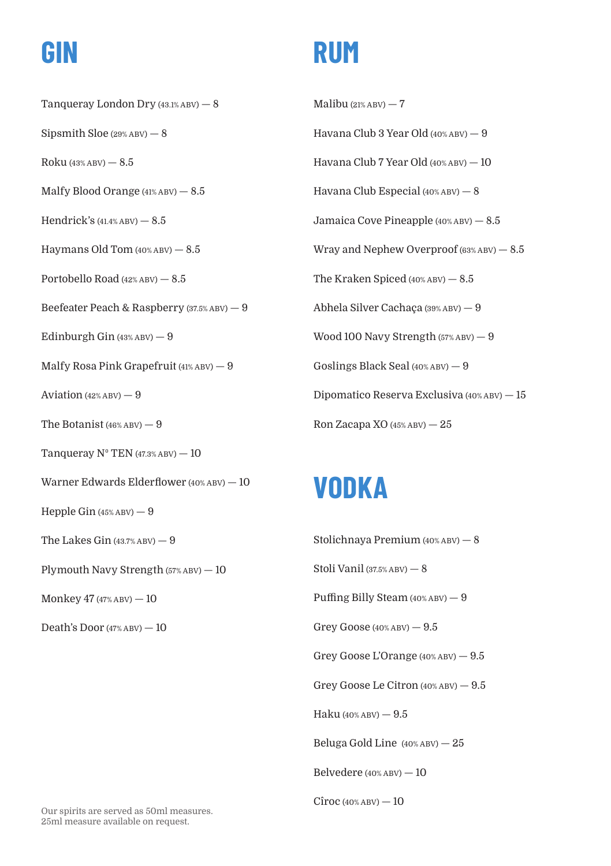Tanqueray London Dry (43.1% ABV) — 8 Sipsmith Sloe  $(29%ABV) - 8$  $Roku (43% ABV) - 8.5$ Malfy Blood Orange  $(41\%ABV) - 8.5$ Hendrick's  $(41.4%ABV) - 8.5$ Haymans Old Tom  $(40\% ABU) = 8.5$ Portobello Road (42% ABV) — 8.5 Beefeater Peach & Raspberry (37.5% ABV) — 9 Edinburgh Gin  $(43\%ABV) - 9$ Malfy Rosa Pink Grapefruit (41% ABV) — 9 Aviation  $(42\%ABV) - 9$ The Botanist  $(46\%ABV) - 9$ Tanqueray  $N^{\circ}$  TEN (47.3% ABV)  $-10$ Warner Edwards Elderflower (40% ABV) — 10 Hepple Gin (45% ABV) — 9 The Lakes Gin  $(43.7\% \text{ ABV}) - 9$ Plymouth Navy Strength (57% ABV) — 10 Monkey  $47$  (47% ABV)  $-10$ Death's Door  $(47\%ABV) - 10$ 

### **GIN RUM**

Malibu  $(21\%$  ABV $)$  - 7 Havana Club 3 Year Old (40% ABV) — 9 Havana Club 7 Year Old (40% ABV) — 10 Havana Club Especial (40% ABV) — 8 Jamaica Cove Pineapple (40% ABV) — 8.5 Wray and Nephew Overproof  $(63%ABV) - 8.5$ The Kraken Spiced (40% ABV) — 8.5 Abhela Silver Cachaça (39% ABV) — 9 Wood 100 Navy Strength (57% ABV) — 9 Goslings Black Seal (40% ABV) — 9 Dipomatico Reserva Exclusiva (40% ABV) — 15 Ron Zacapa XO (45% ABV) — 25

### **VODKA**

Stolichnaya Premium (40% ABV) — 8 Stoli Vanil (37.5% ABV) — 8 Puffing Billy Steam (40% ABV) — 9 Grey Goose  $(40\%$  ABV)  $-9.5$ Grey Goose L'Orange (40% ABV) — 9.5 Grey Goose Le Citron (40% ABV) — 9.5 Haku (40% ABV) — 9.5 Beluga Gold Line (40% ABV) — 25 Belvedere (40% ABV) — 10  $C$ îroc (40% ABV) —  $10$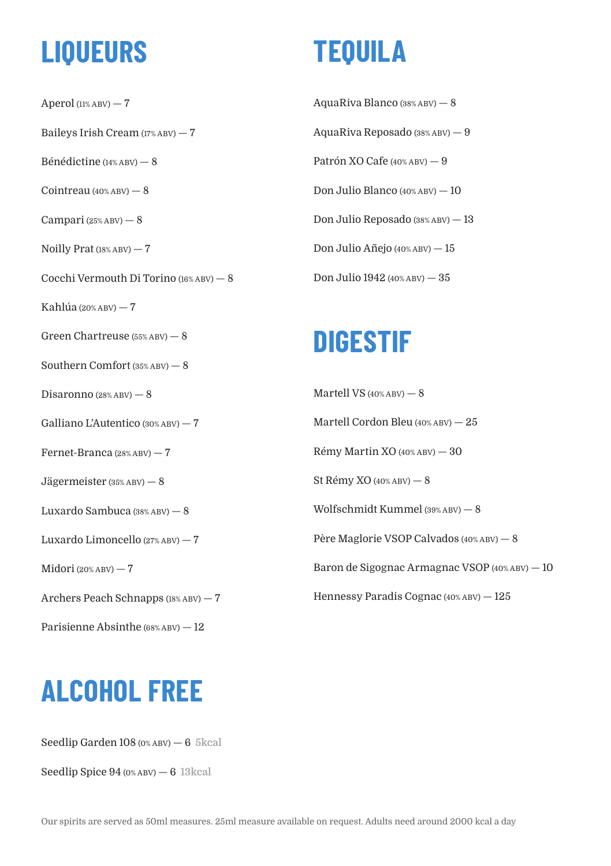### **LIQUEURS**

Aperol  $(11\%$  ABV $)$  -  $7$ Baileys Irish Cream (17% ABV) — 7 Bénédictine (14% ABV) — 8  $Coint$ reau  $(40\%$  ABV $)$   $8$ Campari (25% ABV) — 8 Noilly Prat (18% ABV) — 7 Cocchi Vermouth Di Torino (16% ABV) — 8 Kahlúa (20% ABV) — 7 Green Chartreuse (55% ABV) — 8 Southern Comfort (35% ABV) — 8 Disaronno (28% ABV) — 8 Galliano L'Autentico (30% ABV) — 7 Fernet-Branca (28% ABV) — 7 Jägermeister (35% ABV) — 8 Luxardo Sambuca (38% ABV) — 8 Luxardo Limoncello (27% ABV) — 7 Midori (20% ABV) — 7 Archers Peach Schnapps (18% ABV) — 7 Parisienne Absinthe (68% ABV) — 12

## **ALCOHOL FREE**

Seedlip Garden 108 (0% ABV) — 6 **5kcal**

Seedlip Spice 94 (0% ABV) — 6 **13kcal**

## **TEQUILA**

AquaRiva Blanco (38% ABV) — 8 AquaRiva Reposado (38% ABV) — 9 Patrón XO Cafe (40% ABV) — 9 Don Julio Blanco (40% ABV) — 10 Don Julio Reposado (38% ABV) — 13 Don Julio Añejo (40% ABV) — 15 Don Julio 1942 (40% ABV) — 35

### **DIGESTIF**

Martell VS (40% ABV) — 8 Martell Cordon Bleu (40% ABV) — 25 Rémy Martin XO (40% ABV) — 30 St Rémy XO (40% ABV) — 8 Wolfschmidt Kummel (39% ABV) — 8 Père Maglorie VSOP Calvados (40% ABV) — 8 Baron de Sigognac Armagnac VSOP (40% ABV) — 10 Hennessy Paradis Cognac (40% ABV) — 125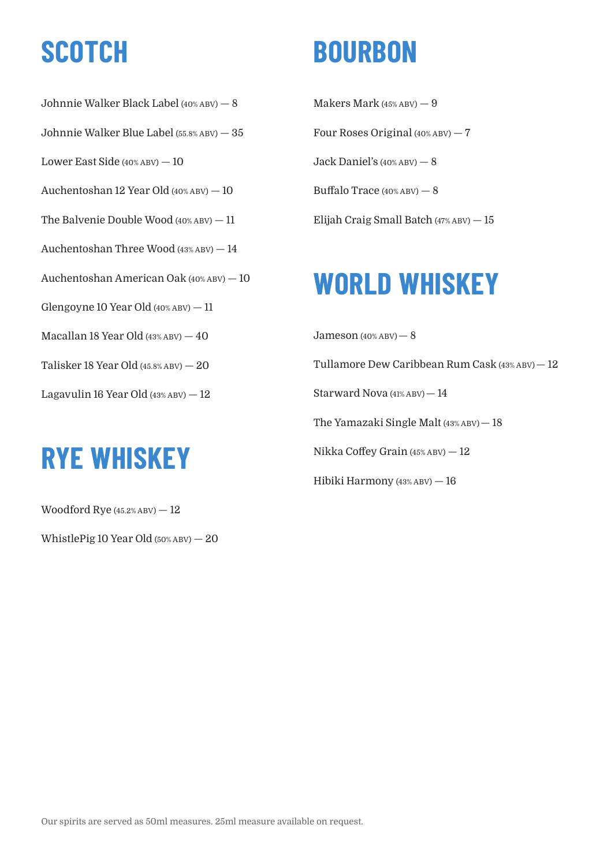Johnnie Walker Black Label (40% ABV) — 8 Johnnie Walker Blue Label (55.8% ABV) — 35 Lower East Side (40% ABV) — 10 Auchentoshan 12 Year Old (40% ABV) — 10 The Balvenie Double Wood (40% ABV) — 11 Auchentoshan Three Wood (43% ABV) — 14 Auchentoshan American Oak (40% ABV) — 10 Glengoyne 10 Year Old  $(40\%ABV) - 11$ Macallan 18 Year Old (43% ABV) — 40 Talisker 18 Year Old (45.8% ABV) — 20 Lagavulin 16 Year Old (43% ABV) — 12

### **RYE WHISKEY**

Woodford Rye  $(45.2\%$  ABV $) - 12$ 

WhistlePig 10 Year Old (50% ABV) — 20

### **SCOTCH BOURBON**

Makers Mark (45% ABV) — 9 Four Roses Original (40% ABV) — 7 Jack Daniel's (40% ABV) — 8 Buffalo Trace (40% ABV) — 8 Elijah Craig Small Batch (47% ABV) — 15

## **WORLD WHISKEY**

 $Jameson (40%ABV) - 8$ Tullamore Dew Caribbean Rum Cask (43% ABV)— 12 Starward Nova (41% ABV)— 14 The Yamazaki Single Malt (43% ABV)— 18 Nikka Coffey Grain (45% ABV) — 12 Hibiki Harmony (43% ABV) — 16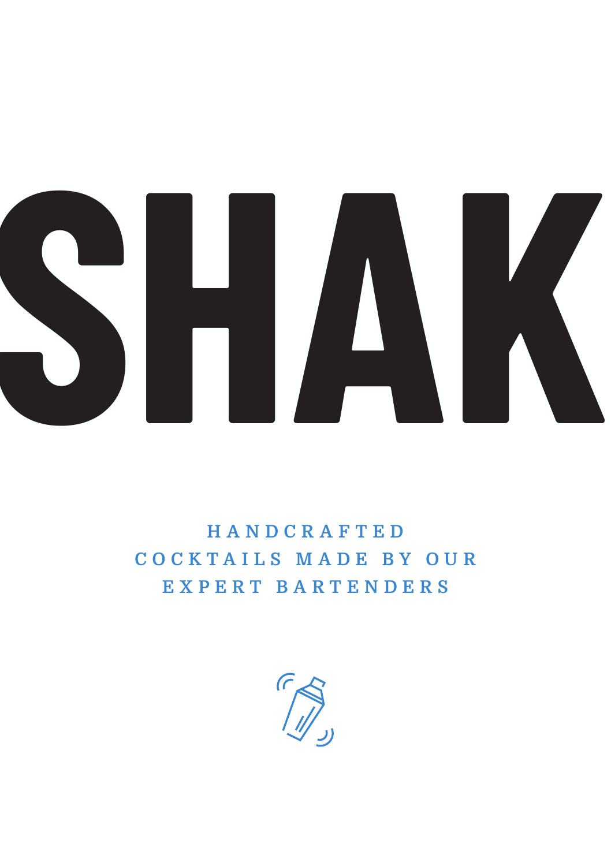

**H A N D C R A F T E D C O C K T A I L S M A D E B Y O U R E X P E R T B A R T E N D E R S**

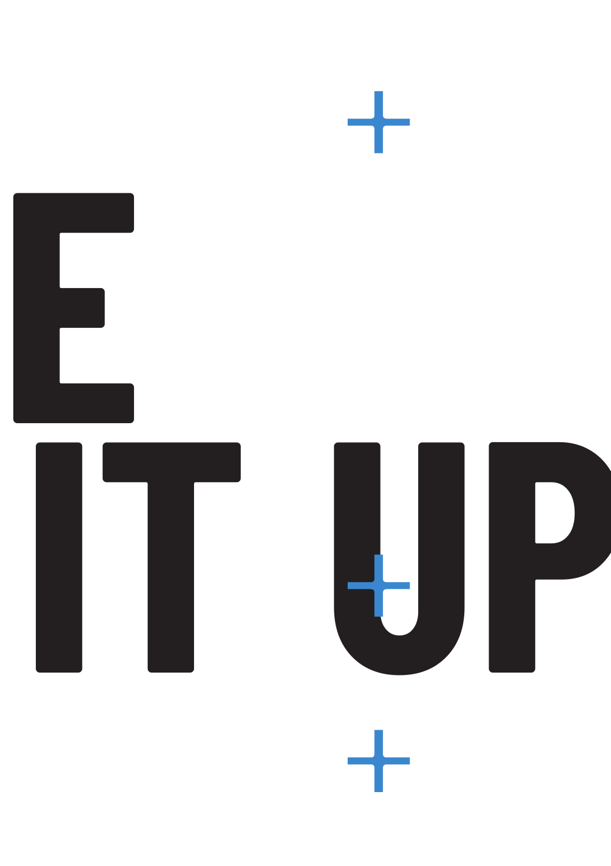









┿

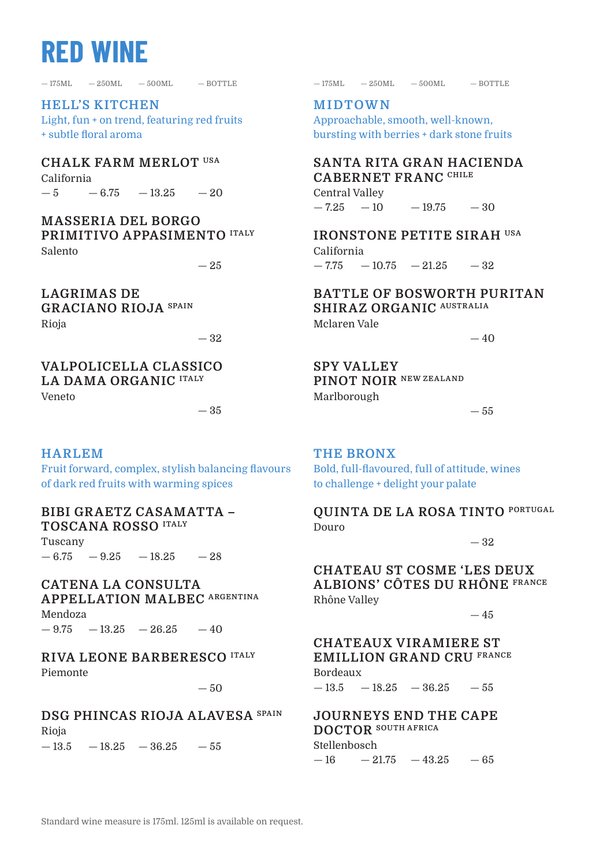### **RED WINE**

 $-175ML$   $-250ML$   $-500ML$   $-60TTLE$ 

**HELL'S KITCHEN** Light, fun + on trend, featuring red fruits + subtle floral aroma

**CHALK FARM MERLOT USA** California

 $-5$   $-6.75$   $-13.25$   $-20$ 

**MASSERIA DEL BORGO PRIMITIVO APPASIMENTO ITALY** Salento

 $-25$ 

**LAGRIMAS DE GRACIANO RIOJA SPAIN** Rioja

— 32

— 35

**VALPOLICELLA CLASSICO LA DAMA ORGANIC ITALY** Veneto

#### **HARLEM**

Fruit forward, complex, stylish balancing flavours of dark red fruits with warming spices

### **BIBI GRAETZ CASAMATTA – TOSCANA ROSSO ITALY**

Tuscany  $-6.75 - 9.25 - 18.25 - 28$ 

**CATENA LA CONSULTA APPELLATION MALBEC ARGENTINA** Mendoza

 $-9.75 -13.25 -26.25 -40$ 

**RIVA LEONE BARBERESCO ITALY** Piemonte

**DSG PHINCAS RIOJA ALAVESA SPAIN** Rioja

 $-13.5 -18.25 -36.25 -55$ 

— 250ML — 250ML — 500ML — 500ML — BOTTLE — BOTTLE

**MIDTOWN** Approachable, smooth, well-known, bursting with berries + dark stone fruits

**SANTA RITA GRAN HACIENDA CABERNET FRANC CHILE** Central Valley

 $-7.25 - 10$  $-19.75 - 30$ 

**IRONSTONE PETITE SIRAH USA** California  $-7.75 -10.75 -21.25$ — 32

**BATTLE OF BOSWORTH PURITAN SHIRAZ ORGANIC AUSTRALIA**

Mclaren Vale

 $-40$ 

**SPY VALLEY PINOT NOIR NEW ZEALAND** Marlborough

— 55

**THE BRONX**

Bold, full-flavoured, full of attitude, wines to challenge + delight your palate

**QUINTA DE LA ROSA TINTO PORTUGAL** Douro

— 32

**CHATEAU ST COSME 'LES DEUX ALBIONS' CÔTES DU RHÔNE FRANCE** Rhône Valley

 $-45$ 

**CHATEAUX VIRAMIERE ST EMILLION GRAND CRU FRANCE** Bordeaux  $-50$   $-13.5$   $-18.25$   $-36.25$   $-55$ 

> **JOURNEYS END THE CAPE DOCTOR SOUTH AFRICA** Stellenbosch  $-16 - 21.75 - 43.25 - 65$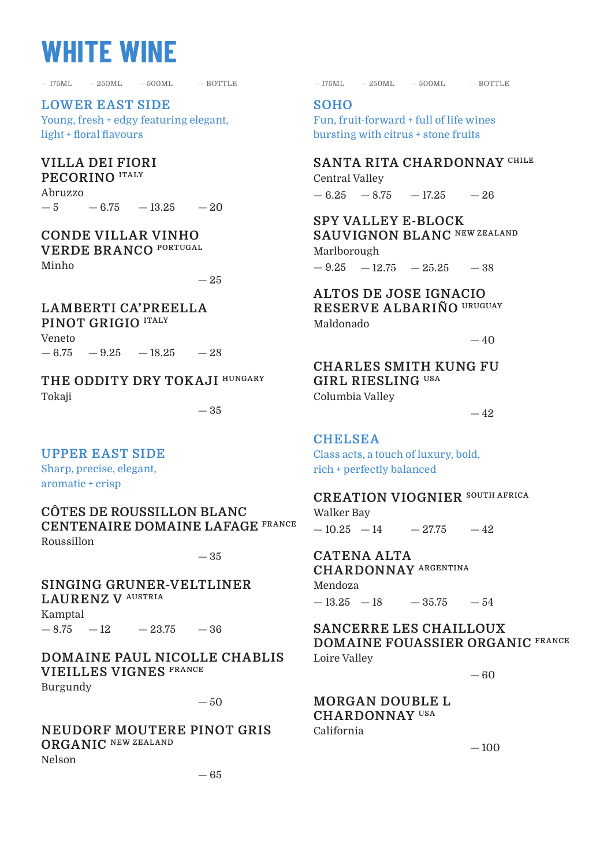### **WHITE WINE**

**LOWER EAST SIDE** Young, fresh + edgy featuring elegant, light + floral flavours

### **VILLA DEI FIORI**

**PECORINO ITALY** Abruzzo — 5  $-6.75 -13.25 -20$ 

### **CONDE VILLAR VINHO**

**VERDE BRANCO PORTUGAL**

Minho

 $-25$ 

### **LAMBERTI CA'PREELLA**

**PINOT GRIGIO ITALY** Veneto

 $-6.75 - 9.25 - 18.25 - 28$ 

**THE ODDITY DRY TOKAJI HUNGARY** Tokaji

### **UPPER EAST SIDE**

Sharp, precise, elegant, aromatic + crisp

**CÔTES DE ROUSSILLON BLANC CENTENAIRE DOMAINE LAFAGE FRANCE** Roussillon

— 35

### **SINGING GRUNER-VELTLINER LAURENZ V AUSTRIA**

Kamptal  $-8.75 -12 -23.75 -36$ 

**DOMAINE PAUL NICOLLE CHABLIS VIEILLES VIGNES FRANCE**

Burgundy

 $-50$ 

**NEUDORF MOUTERE PINOT GRIS ORGANIC NEW ZEALAND** Nelson

 $-175ML -250ML -500ML -BOTILE -175ML -250ML -500ML -BOTILE$ 

#### **SOHO**

Fun, fruit-forward + full of life wines bursting with citrus + stone fruits

**SANTA RITA CHARDONNAY CHILE** Central Valley

 $-6.25 - 8.75 - 17.25 - 26$ 

**SPY VALLEY E-BLOCK SAUVIGNON BLANC NEW ZEALAND** Marlborough

 $-9.25 -12.75 -25.25 -38$ 

#### **ALTOS DE JOSE IGNACIO RESERVE ALBARIÑO URUGUAY** Maldonado

 $-40$ 

### **CHARLES SMITH KUNG FU GIRL RIESLING USA**

Columbia Valley

 $-35$   $-42$ 

### **CHELSEA**

Class acts, a touch of luxury, bold, rich + perfectly balanced

#### **CREATION VIOGNIER SOUTH AFRICA**

Walker Bay  $-10.25 -14$  $-27.75 -42$ 

**CATENA ALTA CHARDONNAY ARGENTINA** Mendoza

 $-13.25 -18$  $-35.75 -54$ 

#### **SANCERRE LES CHAILLOUX DOMAINE FOUASSIER ORGANIC FRANCE** Loire Valley

— 60

#### **MORGAN DOUBLE L CHARDONNAY USA**

California

 $-100$ 

— 65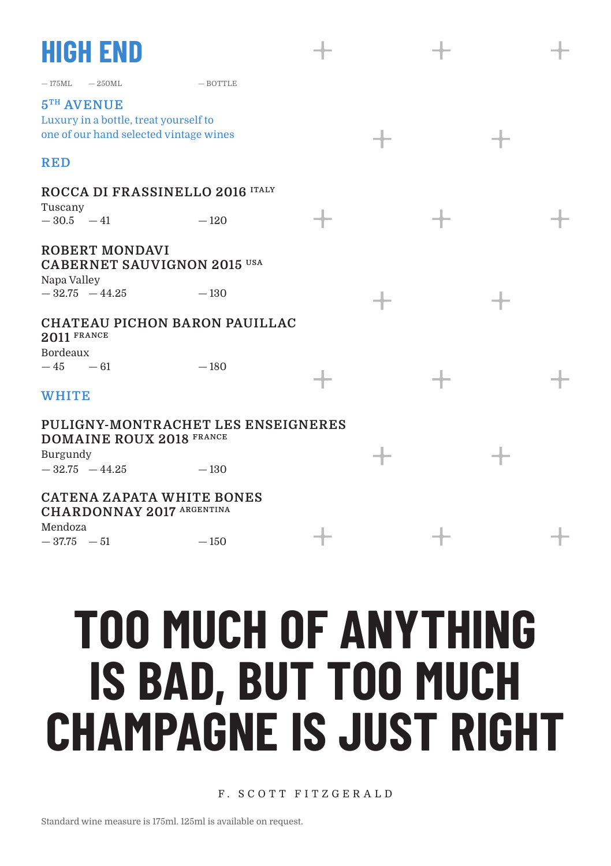### **HIGH END**

 $-$ 175ML  $-$  250ML  $-$  BOTTLE

**5TH AVENUE** Luxury in a bottle, treat yourself to one of our hand selected vintage wines

### **RED**

### **ROCCA DI FRASSINELLO 2016 ITALY**

Tuscany **ROBERT MONDAVI**  $-30.5 -41$  $-120$ 

**CABERNET SAUVIGNON 2015 USA** Napa Valley  $-32.75 -44.25$ — 130

#### **CHATEAU PICHON BARON PAUILLAC 2011 FRANCE**

Bordeaux  $-45 - 61$ 

### **WHITE**

**PULIGNY-MONTRACHET LES ENSEIGNERES DOMAINE ROUX 2018 FRANCE**

 $-180$ 

 $-150$ 

Burgundy  $-32.75 -44.25$ — 130

### **CATENA ZAPATA WHITE BONES**

**CHARDONNAY 2017 ARGENTINA**

Mendoza  $-37.75 - 51$ 

**TOO MUCH OF ANYTHING IS BAD, BUT TOO MUCH CHAMPAGNE IS JUST RIGHT**

F. SCOTT FITZGER ALD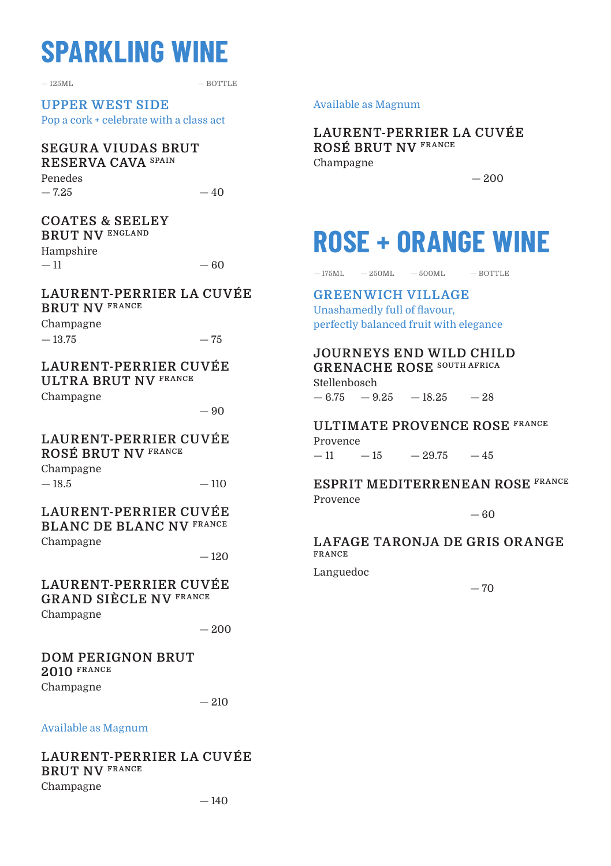### **SPARKLING WINE**

 $-125$ ML  $-$  BOTTLE

**UPPER WEST SIDE** Pop a cork + celebrate with a class act

#### **SEGURA VIUDAS BRUT RESERVA CAVA SPAIN**

Penedes  $-7.25$ 

 $-40$ 

#### **COATES & SEELEY BRUT NV ENGLAND**

Hampshire

— 11

### — 60

#### **LAURENT-PERRIER LA CUVÉE BRUT NV FRANCE**

Champagne  $-13.75$ 

#### — 75

#### **LAURENT-PERRIER CUVÉE ULTRA BRUT NV FRANCE**

Champagne

 $-90$ 

#### **LAURENT-PERRIER CUVÉE ROSÉ BRUT NV FRANCE**

Champagne  $-18.5$ 

 $-110$ 

#### **LAURENT-PERRIER CUVÉE BLANC DE BLANC NV FRANCE** Champagne

 $-120$ 

#### **LAURENT-PERRIER CUVÉE GRAND SIÈCLE NV FRANCE** Champagne

 $-200$ 

### **DOM PERIGNON BRUT 2010 FRANCE**

Champagne

 $-210$ 

#### Available as Magnum

#### **LAURENT-PERRIER LA CUVÉE BRUT NV FRANCE**

Champagne

#### Available as Magnum

**LAURENT-PERRIER LA CUVÉE ROSÉ BRUT NV FRANCE** Champagne

 $-200$ 

### **ROSE + ORANGE WINE**

 $-175$ ML  $-250$ ML  $-500$ ML  $-80$ TTLE

### **GREENWICH VILLAGE**

Unashamedly full of flavour, perfectly balanced fruit with elegance

### **JOURNEYS END WILD CHILD**

**GRENACHE ROSE SOUTH AFRICA** Stellenbosch  $-6.75 - 9.25 - 18.25 - 28$ 

**ULTIMATE PROVENCE ROSE FRANCE**

Provence — 11  $-15$  $-29.75 - 45$ 

#### **ESPRIT MEDITERRENEAN ROSE FRANCE** Provence

— 60

#### **LAFAGE TARONJA DE GRIS ORANGE FRANCE**

Languedoc

 $-70$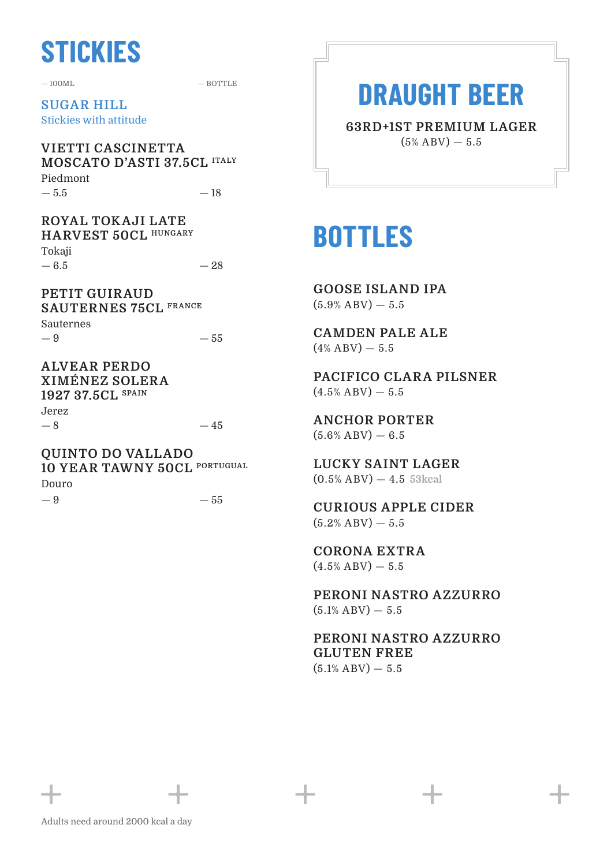### **STICKIES**

 $-100M$   $-$  BOTTLE

 $-45$ 

**SUGAR HILL** Stickies with attitude

**VIETTI CASCINETTA MOSCATO D'ASTI 37.5CL ITALY** Piedmont  $-5.5$ — 18

**ROYAL TOKAJI LATE HARVEST 50CL HUNGARY** Tokaji — 6.5 — 28

**PETIT GUIRAUD SAUTERNES 75CL FRANCE** Sauternes — 9 — 55

**ALVEAR PERDO XIMÉNEZ SOLERA 1927 37.5CL SPAIN** Jerez  $-8$ 

**QUINTO DO VALLADO 10 YEAR TAWNY 50CL PORTUGUAL** Douro — 9  $-55$ 

### **DRAUGHT BEER**

**63RD+1ST PREMIUM LAGER**  $(5\%$  ABV)  $-5.5$ 

### **BOTTLES**

**GOOSE ISLAND IPA**  $(5.9% ABV) - 5.5$ 

**CAMDEN PALE ALE**  $(4\%$  ABV)  $-5.5$ 

**PACIFICO CLARA PILSNER**  $(4.5\%$  ABV $)$   $-$  5.5

**ANCHOR PORTER**  $(5.6% ABV) - 6.5$ 

**LUCKY SAINT LAGER** (0.5% ABV) — 4.5 **53kcal**

**CURIOUS APPLE CIDER**  $(5.2%$  ABV $)$   $-$  5.5

**CORONA EXTRA**  $(4.5\%$  ABV)  $-5.5$ 

**PERONI NASTRO AZZURRO**  $(5.1\%$  ABV)  $-5.5$ 

**PERONI NASTRO AZZURRO GLUTEN FREE**  $(5.1\%$  ABV)  $-5.5$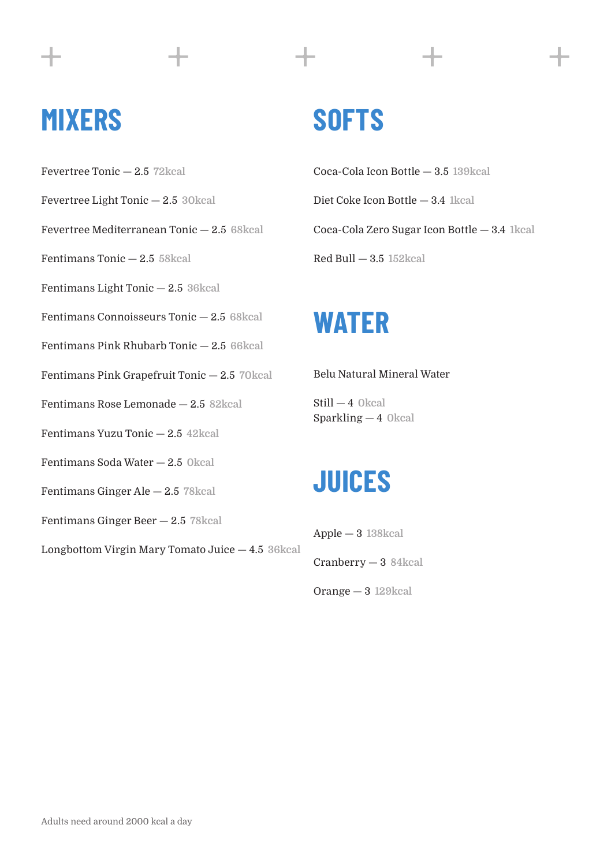### **MIXERS**

- Fevertree Tonic 2.5 **72kcal**
- Fevertree Light Tonic 2.5 **30kcal**
- Fevertree Mediterranean Tonic 2.5 **68kcal**
- Fentimans Tonic 2.5 **58kcal**
- Fentimans Light Tonic 2.5 **36kcal**
- Fentimans Connoisseurs Tonic 2.5 **68kcal**
- Fentimans Pink Rhubarb Tonic 2.5 **66kcal**
- Fentimans Pink Grapefruit Tonic 2.5 **70kcal**
- Fentimans Rose Lemonade 2.5 **82kcal**
- Fentimans Yuzu Tonic 2.5 **42kcal**
- Fentimans Soda Water 2.5 **0kcal**
- Fentimans Ginger Ale 2.5 **78kcal**
- Fentimans Ginger Beer 2.5 **78kcal**
- Longbottom Virgin Mary Tomato Juice 4.5 **36kcal**

### **SOFTS**

Coca-Cola Icon Bottle — 3.5 **139kcal** Diet Coke Icon Bottle — 3.4 **1kcal** Coca-Cola Zero Sugar Icon Bottle — 3.4 **1kcal** Red Bull — 3.5 **152kcal**

### **WATER**

#### Belu Natural Mineral Water

Still — 4 **0kcal** Sparkling — 4 **0kcal**

### **JUICES**

Apple — 3 **138kcal**

- Cranberry 3 **84kcal**
- Orange 3 **129kcal**